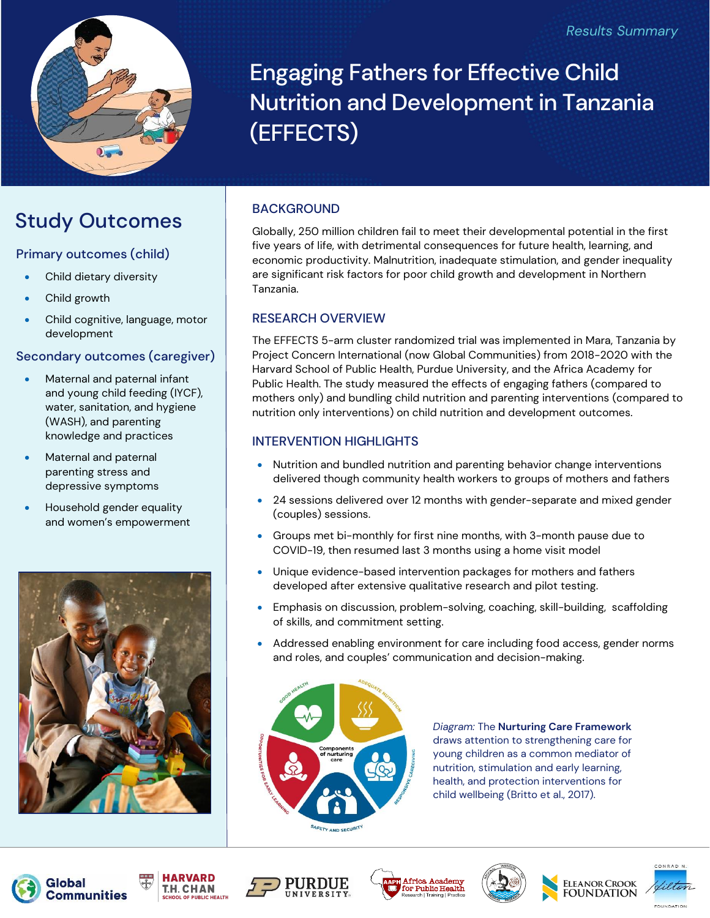

Engaging Fathers for Effective Child Nutrition and Development in Tanzania (EFFECTS)

## Study Outcomes

### Primary outcomes (child)

- Child dietary diversity
- Child growth
- Child cognitive, language, motor development

### Secondary outcomes (caregiver)

- Maternal and paternal infant and young child feeding (IYCF), water, sanitation, and hygiene (WASH), and parenting knowledge and practices
- Maternal and paternal parenting stress and depressive symptoms
- Household gender equality and women's empowerment



### BACKGROUND

Globally, 250 million children fail to meet their developmental potential in the first five years of life, with detrimental consequences for future health, learning, and economic productivity. Malnutrition, inadequate stimulation, and gender inequality are significant risk factors for poor child growth and development in Northern Tanzania.

### RESEARCH OVERVIEW

The EFFECTS 5-arm cluster randomized trial was implemented in Mara, Tanzania by Project Concern International (now Global Communities) from 2018-2020 with the Harvard School of Public Health, Purdue University, and the Africa Academy for Public Health. The study measured the effects of engaging fathers (compared to mothers only) and bundling child nutrition and parenting interventions (compared to nutrition only interventions) on child nutrition and development outcomes.

### INTERVENTION HIGHLIGHTS

- Nutrition and bundled nutrition and parenting behavior change interventions delivered though community health workers to groups of mothers and fathers
- 24 sessions delivered over 12 months with gender-separate and mixed gender (couples) sessions.
- Groups met bi-monthly for first nine months, with 3-month pause due to COVID-19, then resumed last 3 months using a home visit model
- Unique evidence-based intervention packages for mothers and fathers developed after extensive qualitative research and pilot testing.
- Emphasis on discussion, problem-solving, coaching, skill-building, scaffolding of skills, and commitment setting.
- Addressed enabling environment for care including food access, gender norms and roles, and couples' communication and decision-making.



*Diagram:* The **Nurturing Care Framework** draws attention to strengthening care for young children as a common mediator of nutrition, stimulation and early learning, health, and protection interventions for child wellbeing (Britto et al., 2017).















**INDATION**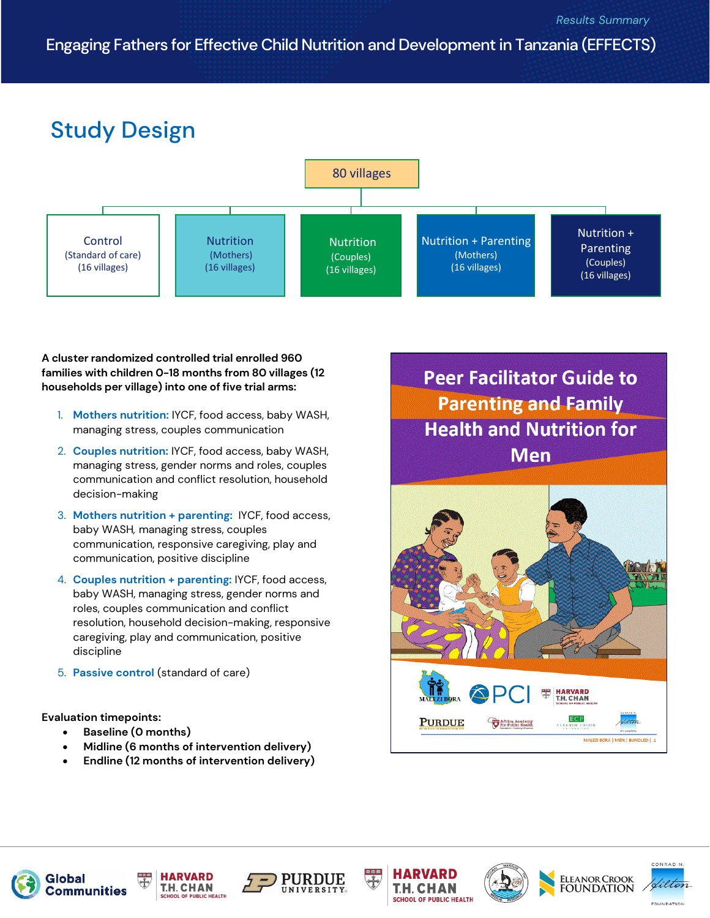## Engaging Fathers for Effective Child Nutrition and Development in Tanzania (EFFECTS)

# Study Design



#### **A cluster randomized controlled trial enrolled 960 families with children 0-18 months from 80 villages (12 households per village) into one of five trial arms:**

- 1. **Mothers nutrition:** IYCF, food access, baby WASH, managing stress, couples communication
- 2. **Couples nutrition:** IYCF, food access, baby WASH, managing stress, gender norms and roles, couples communication and conflict resolution, household decision-making
- 3. **Mothers nutrition + parenting:** IYCF, food access, baby WASH*,* managing stress, couples communication, responsive caregiving, play and communication, positive discipline
- 4. **Couples nutrition + parenting:** IYCF, food access, baby WASH, managing stress, gender norms and roles, couples communication and conflict resolution, household decision-making, responsive caregiving, play and communication, positive discipline
- 5. **Passive control** (standard of care)

**Evaluation timepoints:** 

- **Baseline (0 months)**
- **Midline (6 months of intervention delivery)**
- **Endline (12 months of intervention delivery)**

**Peer Facilitator Guide to Parenting and Family Health and Nutrition for Men** 

















.<br>Conradin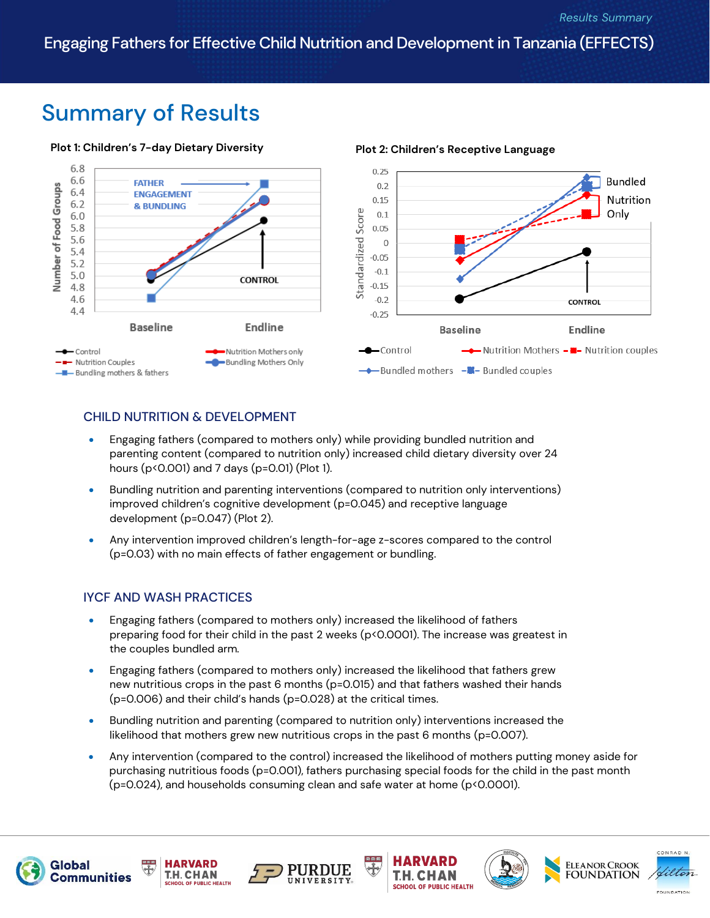## Summary of Results

#### **Plot 1: Children's 7-day Dietary Diversity Plot 2: Children's Receptive Language**



### CHILD NUTRITION & DEVELOPMENT

- Engaging fathers (compared to mothers only) while providing bundled nutrition and parenting content (compared to nutrition only) increased child dietary diversity over 24 hours (p<0.001) and 7 days (p=0.01) (Plot 1).
- Bundling nutrition and parenting interventions (compared to nutrition only interventions) improved children's cognitive development (p=0.045) and receptive language development (p=0.047) (Plot 2).
- Any intervention improved children's length-for-age z-scores compared to the control (p=0.03) with no main effects of father engagement or bundling.

### IYCF AND WASH PRACTICES

- Engaging fathers (compared to mothers only) increased the likelihood of fathers preparing food for their child in the past 2 weeks (p<0.0001). The increase was greatest in the couples bundled arm*.*
- Engaging fathers (compared to mothers only) increased the likelihood that fathers grew new nutritious crops in the past 6 months (p=0.015) and that fathers washed their hands (p=0.006) and their child's hands (p=0.028) at the critical times.
- Bundling nutrition and parenting (compared to nutrition only) interventions increased the likelihood that mothers grew new nutritious crops in the past 6 months (p=0.007).
- Any intervention (compared to the control) increased the likelihood of mothers putting money aside for purchasing nutritious foods (p=0.001), fathers purchasing special foods for the child in the past month (p=0.024), and households consuming clean and safe water at home (p<0.0001).